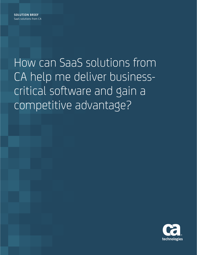How can SaaS solutions from CA help me deliver businesscritical software and gain a competitive advantage?

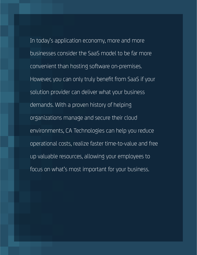environments, CA Technologies can help you reduce protectional costs, realize faster time-to-value and free<br>
protection operational costs, realize faster time-to-value and free patients, allowing your employees to<br>and in the Information of the Information of the International Section 1999 In today's application economy, more and more businesses consider the SaaS model to be far more convenient than hosting software on-premises. However, you can only truly benefit from SaaS if your solution provider can deliver what your business demands. With a proven history of helping organizations manage and secure their cloud focus on what's most important for your business.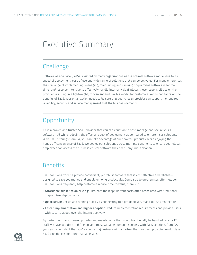# Executive Summary

### Challenge

Software as a Service (SaaS) is viewed by many organizations as the optimal software model due to its speed of deployment, ease of use and wide range of solutions that can be delivered. For many enterprises, the challenge of implementing, managing, maintaining and securing on-premises software is far too time- and resource-intensive to effectively handle internally. SaaS places these responsibilities on the provider, resulting in a lightweight, convenient and flexible model for customers. Yet, to capitalize on the benefits of SaaS, your organization needs to be sure that your chosen provider can support the required reliability, security and service management that the business demands.

### **Opportunity**

CA is a proven and trusted SaaS provider that you can count on to host, manage and secure your IT software—all while reducing the effort and cost of deployment as compared to on-premises solutions. With SaaS offerings from CA, you can take advantage of our powerful products, while enjoying the hands-off convenience of SaaS. We deploy our solutions across multiple continents to ensure your global employees can access the business-critical software they need—anytime, anywhere.

### **Benefits**

SaaS solutions from CA provide convenient, yet robust software that is cost-effective and reliable designed to save you money and enable ongoing productivity. Compared to on-premises offerings, our SaaS solutions frequently help customers reduce time to-value, thanks to:

- **Affordable subscription pricing**: Eliminate the large, upfront costs often associated with traditional on-premises deployments.
- **Quick setup**: Get up and running quickly by connecting to a pre-deployed, ready-to-use architecture.
- **Faster implementation and higher adoption**: Reduce implementation requirements and provide users with easy-to-adopt, over-the-internet delivery.

By performing the software upgrades and maintenance that would traditionally be handled by your IT staff, we save you time and free up your most valuable human resources. With SaaS solutions from CA, you can be confident that you're conducting business with a partner that has been providing world-class SaaS experiences for more than a decade.

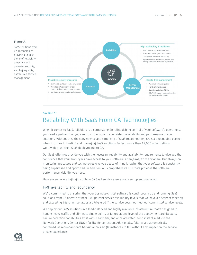#### **Figure A.**

SaaS solutions from CA Technologies provide a unique blend of reliability, proactive and powerful security, and high-quality, hassle-free service management.



### **Section 1:** Reliability With SaaS From CA Technologies

When it comes to SaaS, reliability is a cornerstone. In relinquishing control of your software's operations, you need a partner that you can trust to ensure the consistent availability and performance of your solutions. Without this, the convenience and simplicity of SaaS mean nothing. CA is a dependable partner when it comes to hosting and managing SaaS solutions. In fact, more than 19,000 organizations worldwide trust their SaaS deployments to CA.

Our SaaS offerings provide you with the necessary reliability and availability requirements to give you the confidence that your employees have access to your software, at anytime, from anywhere. Our always-on monitoring processes and technologies give you peace of mind knowing that your software is constantly being supervised and optimized. In addition, our comprehensive Trust Site provides the software performance visibility you need.

Here are some key highlights of how CA SaaS service assurance is set up and managed.

#### High availability and redundancy

We're committed to ensuring that your business-critical software is continuously up and running. SaaS solutions from CA operate at near-100 percent service availability levels that we have a history of meeting and exceeding. Matching penalties are triggered if the service does not meet our committed service levels.

We deploy our SaaS solutions in a load-balanced and highly available infrastructure that's designed to handle heavy traffic and eliminate single points of failure at any level of the deployment architecture. Failure detection capabilities exist within each tier, and once activated, send instant alerts to the Network Operations Center (NOC) facility for correction. Additionally, failures are automatically contained, as redundant data backup allows single instances to fail without any impact on the service or user experience.

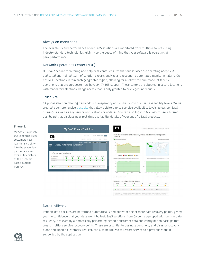#### Always-on monitoring

The availability and performance of our SaaS solutions are monitored from multiple sources using industry-standard technologies, giving you the peace of mind that your software is operating at peak performance.

#### Network Operations Center (NOC)

Our 24x7 service monitoring and help desk center ensures that our services are operating adeptly. A dedicated and trained team of solution experts analyze and respond to automated monitoring alerts. CA has NOC locations within each geographic region, allowing for a follow-the-sun model of facility operations that ensures customers have 24x7x365 support. These centers are situated in secure locations with mandatory electronic badge access that is only granted to privileged individuals.

#### Trust Site

CA prides itself on offering tremendous transparency and visibility into our SaaS availability levels. We've created a comprehensive [trust site](http://www.ca.com/Trust) that allows visitors to see service availability levels across our SaaS offerings, as well as any service notifications or updates. You can also log into My SaaS to see a filtered dashboard that displays near-real-time availability details of your specific SaaS products.

#### **Figure B.**

My SaaS is a private trust site that gives customers nearreal-time visibility into the seven day performance and availability history of their specific SaaS solutions from CA.



#### Data resiliency

Periodic data backups are performed automatically and allow for one or more data recovery points, giving you the confidence that your data won't be lost. SaaS solutions from CA come equipped with built-in data resiliency, achieved by automatically performing periodic customer data and configuration backups that create multiple service recovery points. These are essential to business continuity and disaster recovery plans and, upon a customers' request, can also be utilized to restore service to a previous state, if supported by the application.

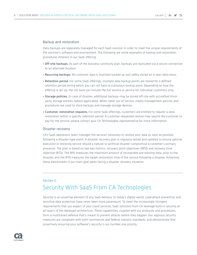#### Backup and restoration

Data backups are separately managed for each SaaS solution in order to meet the unique requirements of the solution's software and environment. The following are some examples of backup and restoration procedures inherent in our SaaS offering:

- **Off-site backups.** As part of the business continuity plan, backups are replicated via a secure connection to an alternate location.
- **Recurring backups.** All customer data is routinely backed up and safely stored on a near-daily basis.
- **Retention period.** For some SaaS offerings, multiple data backup points are stored for a defined retention period during which you can roll back to a previous backup point. Depending on how the offering is set up, the roll back can include the full service or service for individual customers only.
- **Storage policies.** In case of disaster, additional backups may be stored off-site with accredited thirdparty storage entities (where applicable). When taken out of service, media management policies and procedures are used to store backups and manage storage devices.
- **Customer restoration requests.** For some SaaS offerings, customers are entitled to request a data restoration within a specific retention period. A customer-requested restore may require the customer to pay for the service; please contact your CA Technologies representative for more information.

#### Disaster recovery

CA's SaaS operations team manages the services necessary to restore your data as soon as possible following a disaster-type event. A disaster recovery plan is regularly tested and updated to ensure optimal execution in restoring service should a natural or artificial disaster compromise a customer's primary processor. The plan is based on two key metrics: recovery point objectives (RPO) and recovery time objective (RTO). The RPO measures the maximum amount of recoverable pre-existing data, prior to the disaster, and the RTO measures the target restoration time of the service following a disaster. Achieving these benchmarks is our main goal when facing a disaster recovery situation.

### **Section 2:** Security With SaaS From CA Technologies

Security is an essential element of any SaaS delivery. In today's digital world, cyberattack prevention and sensitive data protection have never been more paramount. To meet the increasingly stringent requirements that you expect of your cloud services, SaaS solutions from CA leverage built-in security at all layers of the deployed architecture. These capabilities, coupled with our protocols and procedures, form a multitiered defense that's meant to prevent attacks before they happen. Our vigorous security measures are compliant with both commercial and federal industry standards, and demonstrate that proactively ensuring your software's security is our number-one priority.

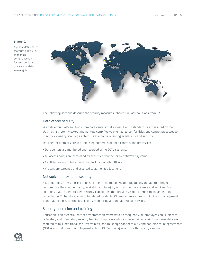#### **Figure C.**

A global data center footprint allows CA to manage compliance laws focused on data privacy and data sovereignty.



The following sections describe the security measures inherent in SaaS solutions from CA.

#### Data center security

We deliver our SaaS solutions from data centers that exceed Tier III standards, as measured by the Uptime Institute (http://uptimeinstitute.com). We've engineered our facilities and control processes to meet or exceed typical large enterprise standards, ensuring availability and security.

Data center premises are secured using numerous defined controls and processes:

- Data centers are monitored and recorded using CCTV systems.
- All access points are controlled by security personnel or by entry/exit systems.
- Facilities are occupied around the clock by security officers.
- Visitors are screened and escorted to authorized locations.

#### Networks and systems security

SaaS solutions from CA use a defense in-depth methodology to mitigate any threats that might compromise the confidentiality, availability or integrity of customer data, assets and services. Our solutions feature edge-to-edge security capabilities that provide visibility, threat management and remediation. To handle any security related incidents, CA implements a protocol incident management plan that includes continuous security monitoring and threat detection cycles.

#### Security education and training

Education is an essential part of any protection framework. Consequently, all employees are subject to regulatory and mandatory security training. Employees whose roles entail accessing customer data are required to take additional security training, and must sign confidentiality and non-disclosure agreements (NDAs) as conditions of employment at both CA Technologies and our third-party vendors.

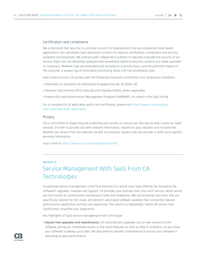#### Certification and compliance

We understand that security is a primary concern for organizations that are evaluating cloud-based applications. Our worldwide SaaS operations conform to rigorous certification, compliance and security programs and processes. We contract with independent auditors to regularly evaluate the security of our service. High risks are identified, analyzed and remediated before production systems are made available to customers. Midlevel risks are evaluated and resolved on a priority basis, and the potential impact on the customer is always top of mind when prioritizing these mid-risk remediation jobs.

SaaS solutions from CA comply with the following important certification and compliance standards:

- Statement on Standards for Attestation Engagements No.16 (SSAE 16)
- Payment Card Industry (PCI) Data Security Standard (DSS), where applicable
- Federal Risk and Authorization Management Program (FedRAMP), as stated in the SaaS listing

For a complete list of applicable audits and certificates, please visit [http://www.ca.com/us/lpg/](http://www.ca.com/us/lpg/saas-summary-audit-report.aspx) [saas-summary-audit-report.aspx](http://www.ca.com/us/lpg/saas-summary-audit-report.aspx)

#### **Privacy**

CA is committed to respecting and protecting your privacy to ensure you feel secure when using our SaaS services. In order to provide you with relevant information, respond to your requests and increase the benefits you receive from our website, we will occasionally request that you provide us with some specific personal information.

Learn more at <https://www.ca.com/us/legal/privacy.html>

#### **Section 3:**

## Service Management With SaaS From CA **Technologies**

Exceptional service management is the final element of a world-class SaaS offering. By managing the software's upgrades, changes and support, CA provides your business with top-notch service, while saving you the trouble of cumbersome maintenance tasks and headaches. We use processes and tools that are specifically tailored for the cloud, and perform automated software updates that constantly improve performance capabilities and the user experience. The result is a lightweight, hands-off service that significantly simplifies your experience.

Key highlights of SaaS service management from CA include:

• **Hassle-free upgrades and maintenance.** CA automatically upgrades you to new versions of the software, giving you immediate access to the latest features as soon as they're available—so you know your software is always up to date. We also perform periodic maintenance to ensure your software is operating at peak performance.

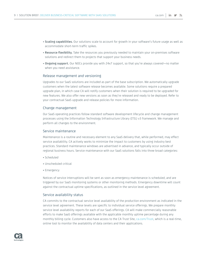- **Scaling capabilities.** Our solutions scale to account for growth in your software's future usage as well as accommodate short-term traffic spikes.
- **Resource flexibility.** Take the resources you previously needed to maintain your on-premises software solutions and redirect them to projects that support your business needs.
- **Ongoing support.** Our NOCs provide you with 24x7 support, so that you're always covered—no matter when you need assistance.

#### Release management and versioning

Upgrades to our SaaS solutions are included as part of the base subscription. We automatically upgrade customers when the latest software release becomes available. Some solutions require a prepared upgrade plan, in which case CA will notify customers when their solution is required to be upgraded for new features. We also offer new versions as soon as they're released and ready to be deployed. Refer to your contractual SaaS upgrade and release policies for more information.

#### Change management

Our SaaS operating practices follow standard software development lifecycle and change management processes using the Information Technology Infrastructure Library (ITIL) v3 framework. We manage and perform all changes to the environment.

#### Service maintenance

Maintenance is a routine and necessary element to any SaaS delivery that, while performed, may effect service availability. CA actively works to minimize the impact to customers by using industry best practices. Standard maintenance windows are advertised in advance, and typically occur outside of regional business hours. Service maintenance with our SaaS solutions falls into three broad categories:

- Scheduled
- Unscheduled critical
- Emergency

Notices of service interruptions will be sent as soon as emergency maintenance is scheduled, and are triggered by our SaaS monitoring systems or other monitoring methods. Emergency downtime will count against the contractual uptime specifications, as outlined in the service level agreement.

#### Service availability status

CA commits to the contractual service level availability of the production environment as indicated in the service level agreement. These levels are specific to individual service offerings. We prepare monthly service level availability reports for each of our SaaS offerings. CA will make commercially reasonable efforts to make SaaS offerings available with the applicable monthly uptime percentage during any monthly billing cycle. Customers also have access to the CA Trust Site, [ca.com/Trust](http://ca.com/Trust), which is a real-time, online tool to monitor the availability of data centers and their applications.

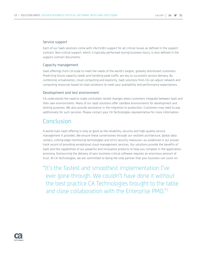#### Service support

Each of our SaaS solutions come with 24x7x365 support for all critical issues as defined in the support contract. Non-critical support, which is typically performed during business hours, is also defined in the support contract documents.

#### Capacity management

SaaS offerings from CA scale to meet the needs of the world's largest, globally distributed customers. Predicting future capacity needs and handling peak traffic are key to successful service delivery. By combining virtualization, cloud computing and elasticity, SaaS solutions from CA can adjust network and computing resources based on load variations to meet your availability and performance expectations.

#### Development and test environment

CA understands the need to make controlled, tested changes when customers integrate between SaaS and their own environments. Many of our SaaS solutions offer sandbox environments for development and testing purposes. We also provide assistance in the migration to production. Customers may need to pay additionally for such services. Please contact your CA Technologies representative for more information.

### Conclusion

A world-class SaaS offering is only as good as the reliability, security and high-quality service management it provides. We ensure these cornerstones through our resilient architecture, global data centers, cutting-edge monitoring technologies and strict security measures—as evidenced in our proven track record of providing exceptional cloud management services. Our solutions provide the benefits of SaaS and the capabilities of our powerful and innovative products to help you compete in the application economy. Outsourcing the delivery of your business-critical software requires an enormous amount of trust. At CA Technologies, we are committed to being the vital partner that your business can count on.

"It's the fastest and smoothest implementation I've ever gone through. We couldn't have done it without the best practice CA Technologies brought to the table and close collaboration with the Enterprise PMO."1